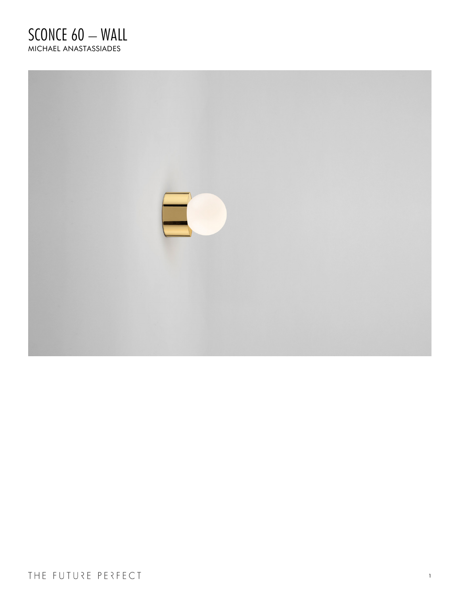## SCONCE 60 - WALL MICHAEL ANASTASSIADES